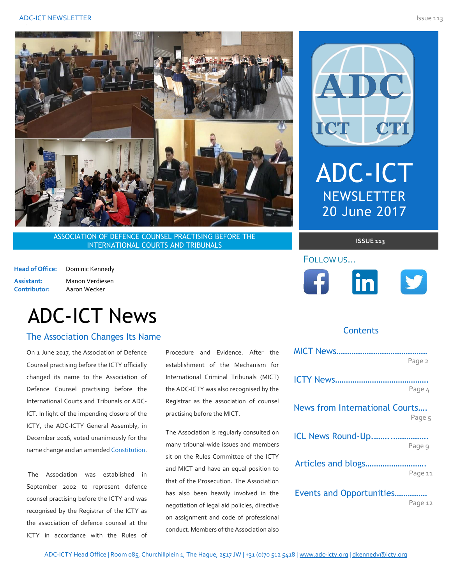

ASSOCIATION OF DEFENCE COUNSEL PRACTISING BEFORE THE **INTERNATIONAL COURTS AND TRIBUNALS** 

**Head of Office:** Dominic Kennedy **Assistant:** Manon Verdiesen **Contributor:** Aaron Wecker

# ADC-ICT News

## The Association Changes Its Name *The authorite state of the authorite and do not necessarily reflect the authorite state and do not necessarily reflect the*  $\sim$

On 1 June 2017, the Association of Defence Counsel practising before the ICTY officially changed its name to the Association of Defence Counsel practising before the International Courts and Tribunals or ADC-ICT. In light of the impending closure of the ICTY, the ADC-ICTY General Assembly, in December 2016, voted unanimously for the name change and an amended [Constitution.](https://www.adc-ict.org/documents)

The Association was established in September 2002 to represent defence counsel practising before the ICTY and was recognised by the Registrar of the ICTY as the association of defence counsel at the ICTY in accordance with the Rules of Procedure and Evidence. After the establishment of the Mechanism for International Criminal Tribunals (MICT) the ADC-ICTY was also recognised by the Registrar as the association of counsel practising before the MICT.

The Association is regularly consulted on many tribunal-wide issues and members sit on the Rules Committee of the ICTY and MICT and have an equal position to that of the Prosecution. The Association has also been heavily involved in the negotiation of legal aid policies, directive on assignment and code of professional conduct. Members of the Association also



ADC

ICT

# **Contents**

|                                | Page 2  |
|--------------------------------|---------|
|                                | Page 4  |
| News from International Courts | Page 5  |
| ICL News Round-Up              | Page 9  |
|                                | Page 11 |
| Events and Opportunities       | Page 12 |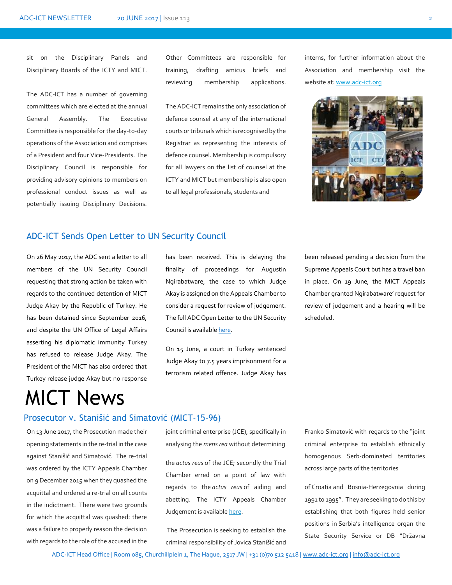sit on the Disciplinary Panels and Disciplinary Boards of the ICTY and MICT.

The ADC-ICT has a number of governing committees which are elected at the annual General Assembly. The Executive Committee is responsible for the day-to-day operations of the Association and comprises of a President and four Vice-Presidents. The Disciplinary Council is responsible for providing advisory opinions to members on professional conduct issues as well as potentially issuing Disciplinary Decisions.

Other Committees are responsible for training, drafting amicus briefs and reviewing membership applications.

The ADC-ICT remains the only association of defence counsel at any of the international courts or tribunals which is recognised by the Registrar as representing the interests of defence counsel. Membership is compulsory for all lawyers on the list of counsel at the ICTY and MICT but membership is also open to all legal professionals, students and

interns, for further information about the Association and membership visit the website at: www.adc-ict.org



## ADC-ICT Sends Open Letter to UN Security Council

On 26 May 2017, the ADC sent a letter to all members of the UN Security Council requesting that strong action be taken with regards to the continued detention of MICT Judge Akay by the Republic of Turkey. He has been detained since September 2016, and despite the UN Office of Legal Affairs asserting his diplomatic immunity Turkey has refused to release Judge Akay. The President of the MICT has also ordered that Turkey release judge Akay but no response

# MICT News

# Prosecutor v. Stanišić and Simatović (MICT-15-96) MI

On 13 June 2017, the Prosecution made their opening statements in the re-trial in the case against Stanišić and Simatović*.* The re-trial was ordered by the ICTY Appeals Chamber on 9 December 2015 when they quashed the acquittal and ordered a re-trial on all counts in the indictment. There were two grounds for which the acquittal was quashed: there was a failure to properly reason the decision with regards to the role of the accused in the

has been received. This is delaying the finality of proceedings for Augustin Ngirabatware, the case to which Judge Akay is assigned on the Appeals Chamber to consider a request for review of judgement. The full ADC Open Letter to the UN Security Council is availabl[e here.](https://docs.wixstatic.com/ugd/ce12e8_95bc6fe0f80f4949abe7f6e4f2a5be71.pdf)

On 15 June, a court in Turkey sentenced Judge Akay to 7.5 years imprisonment for a terrorism related offence. Judge Akay has been released pending a decision from the Supreme Appeals Court but has a travel ban in place. On 19 June, the MICT Appeals Chamber granted Ngirabatware' request for review of judgement and a hearing will be scheduled.

joint criminal enterprise (JCE), specifically in analysing the *mens rea* without determining

the *actus reus* of the JCE; secondly the Trial Chamber erred on a point of law with regards to the *actus reus* of aiding and abetting. The ICTY Appeals Chamber Judgement is available [here.](http://www.icty.org/x/cases/stanisic_simatovic/acjug/en/151209-judgement.pdf)

The Prosecution is seeking to establish the criminal responsibility of Jovica Stanišić and Franko Simatović with regards to the "joint criminal enterprise to establish ethnically homogenous Serb-dominated territories across large parts of the territories

of Croatia and Bosnia-Herzegovnia during 1991 to 1995". They are seeking to do this by establishing that both figures held senior positions in Serbia's intelligence organ the State Security Service or DB "Državna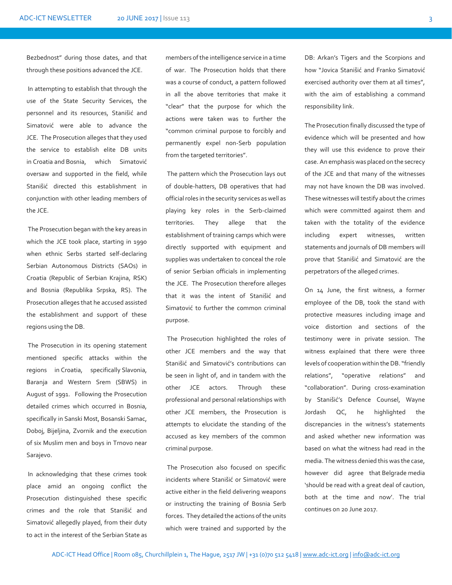Bezbednost" during those dates, and that through these positions advanced the JCE.

In attempting to establish that through the use of the State Security Services, the personnel and its resources, Stanišić and Simatović were able to advance the JCE. The Prosecution alleges that they used the service to establish elite DB units in Croatia and Bosnia, which Simatović oversaw and supported in the field, while Stanišić directed this establishment in conjunction with other leading members of the JCE.

The Prosecution began with the key areas in which the JCE took place, starting in 1990 when ethnic Serbs started self-declaring Serbian Autonomous Districts (SAOs) in Croatia (Republic of Serbian Krajina, RSK) and Bosnia (Republika Srpska, RS). The Prosecution alleges that he accused assisted the establishment and support of these regions using the DB.

The Prosecution in its opening statement mentioned specific attacks within the regions in Croatia, specifically Slavonia, Baranja and Western Srem (SBWS) in August of 1991. Following the Prosecution detailed crimes which occurred in Bosnia, specifically in Sanski Most, Bosanski Samac, Doboj, Bijeljina, Zvornik and the execution of six Muslim men and boys in Trnovo near Sarajevo.

In acknowledging that these crimes took place amid an ongoing conflict the Prosecution distinguished these specific crimes and the role that Stanišić and Simatović allegedly played, from their duty to act in the interest of the Serbian State as members of the intelligence service in a time of war. The Prosecution holds that there was a course of conduct, a pattern followed in all the above territories that make it "clear" that the purpose for which the actions were taken was to further the "common criminal purpose to forcibly and permanently expel non-Serb population from the targeted territories".

The pattern which the Prosecution lays out of double-hatters, DB operatives that had official roles in the security services as well as playing key roles in the Serb-claimed territories. They allege that the establishment of training camps which were directly supported with equipment and supplies was undertaken to conceal the role of senior Serbian officials in implementing the JCE. The Prosecution therefore alleges that it was the intent of Stanišić and Simatović to further the common criminal purpose.

The Prosecution highlighted the roles of other JCE members and the way that Stanišić and Simatović's contributions can be seen in light of, and in tandem with the other JCE actors. Through these professional and personal relationships with other JCE members, the Prosecution is attempts to elucidate the standing of the accused as key members of the common criminal purpose.

The Prosecution also focused on specific incidents where Stanišić or Simatović were active either in the field delivering weapons or instructing the training of Bosnia Serb forces. They detailed the actions of the units which were trained and supported by the

DB: Arkan's Tigers and the Scorpions and how "Jovica Stanišić and Franko Simatović exercised authority over them at all times", with the aim of establishing a command responsibility link.

The Prosecution finally discussed the type of evidence which will be presented and how they will use this evidence to prove their case. An emphasis was placed on the secrecy of the JCE and that many of the witnesses may not have known the DB was involved. These witnesses will testify about the crimes which were committed against them and taken with the totality of the evidence including expert witnesses, written statements and journals of DB members will prove that Stanišić and Simatović are the perpetrators of the alleged crimes.

On 14 June, the first witness, a former employee of the DB, took the stand with protective measures including image and voice distortion and sections of the testimony were in private session. The witness explained that there were three levels of cooperation within the DB. "friendly relations", "operative relations" and "collaboration". During cross-examination by Stanišić's Defence Counsel, Wayne Jordash QC, he highlighted the discrepancies in the witness's statements and asked whether new information was based on what the witness had read in the media. The witness denied this was the case, however did agree that Belgrade media 'should be read with a great deal of caution, both at the time and now'. The trial continues on 20 June 2017.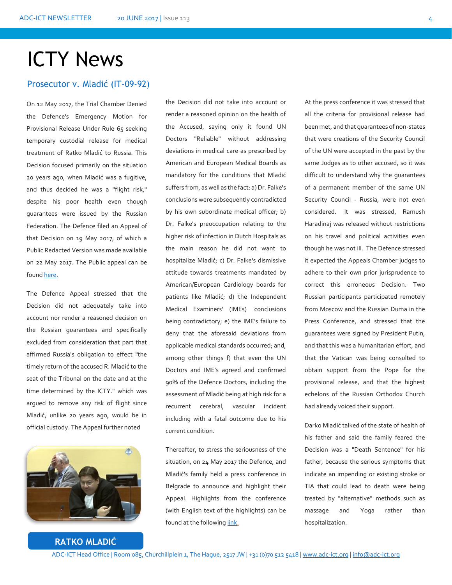# ICTY News

### Prosecutor v. Mladić (IT-09-92)

On 12 May 2017, the Trial Chamber Denied the Defence's Emergency Motion for Provisional Release Under Rule 65 seeking temporary custodial release for medical treatment of Ratko Mladić to Russia. This Decision focused primarily on the situation 20 years ago, when Mladić was a fugitive, and thus decided he was a "flight risk," despite his poor health even though guarantees were issued by the Russian Federation. The Defence filed an Appeal of that Decision on 19 May 2017, of which a Public Redacted Version was made available on 22 May 2017. The Public appeal can be foun[d here.](http://icr.icty.org/LegalRef/CMSDocStore/Public/English/Motions/NotIndexable/IT-09-92-AR65%231/MRA25195R0000513463.pdf)

The Defence Appeal stressed that the Decision did not adequately take into account nor render a reasoned decision on the Russian guarantees and specifically excluded from consideration that part that affirmed Russia's obligation to effect "the timely return of the accused R. Mladić to the seat of the Tribunal on the date and at the time determined by the ICTY." which was argued to remove any risk of flight since Mladić, unlike 20 years ago, would be in official custody. The Appeal further noted



render a reasoned opinion on the health of the Accused, saying only it found UN Doctors "Reliable" without addressing deviations in medical care as prescribed by American and European Medical Boards as mandatory for the conditions that Mladić suffers from, as well as the fact: a) Dr. Falke's conclusions were subsequently contradicted by his own subordinate medical officer; b) Dr. Falke's preoccupation relating to the higher risk of infection in Dutch Hospitals as the main reason he did not want to hospitalize Mladić; c) Dr. Falke's dismissive attitude towards treatments mandated by American/European Cardiology boards for patients like Mladić; d) the Independent Medical Examiners' (IMEs) conclusions being contradictory; e) the IME's failure to deny that the aforesaid deviations from applicable medical standards occurred; and, among other things f) that even the UN Doctors and IME's agreed and confirmed 90% of the Defence Doctors, including the assessment of Mladić being at high risk for a recurrent cerebral, vascular incident including with a fatal outcome due to his current condition.

the Decision did not take into account or

Thereafter, to stress the seriousness of the situation, on 24 May 2017 the Defence, and Mladić's family held a press conference in Belgrade to announce and highlight their Appeal. Highlights from the conference (with English text of the highlights) can be found at the following [link.](https://www.youtube.com/watch?v=LPK6MnZX5pA)

At the press conference it was stressed that all the criteria for provisional release had been met, and that guarantees of non-states that were creations of the Security Council of the UN were accepted in the past by the same Judges as to other accused, so it was difficult to understand why the guarantees of a permanent member of the same UN Security Council - Russia, were not even considered. It was stressed, Ramush Haradinaj was released without restrictions on his travel and political activities even though he was not ill. The Defence stressed it expected the Appeals Chamber judges to adhere to their own prior jurisprudence to correct this erroneous Decision. Two Russian participants participated remotely from Moscow and the Russian Duma in the Press Conference, and stressed that the guarantees were signed by President Putin, and that this was a humanitarian effort, and that the Vatican was being consulted to obtain support from the Pope for the provisional release, and that the highest echelons of the Russian Orthodox Church had already voiced their support.

Darko Mladić talked of the state of health of his father and said the family feared the Decision was a "Death Sentence" for his father, because the serious symptoms that indicate an impending or existing stroke or TIA that could lead to death were being treated by "alternative" methods such as massage and Yoga rather than hospitalization.

## **RATKO MLADIĆ**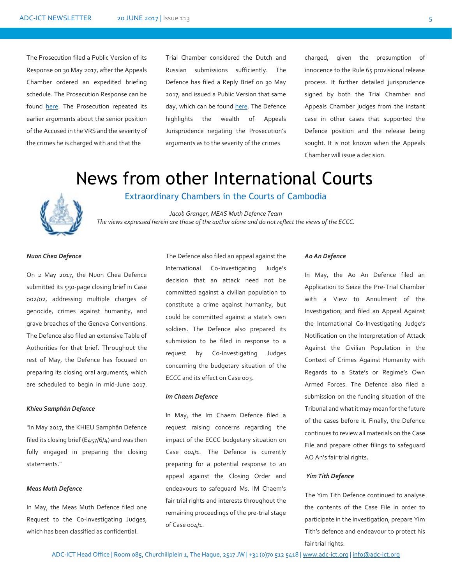The Prosecution filed a Public Version of its Response on 30 May 2017, after the Appeals Chamber ordered an expedited briefing schedule. The Prosecution Response can be found [here.](http://icr.icty.org/LegalRef/CMSDocStore/Public/English/Response/NotIndexable/IT-09-92-AR65%231/MRA25201R0000513527.pdf) The Prosecution repeated its earlier arguments about the senior position of the Accused in the VRS and the severity of the crimes he is charged with and that the

Trial Chamber considered the Dutch and Russian submissions sufficiently. The Defence has filed a Reply Brief on 30 May 2017, and issued a Public Version that same day, which can be found [here.](http://icr.icty.org/LegalRef/CMSDocStore/Public/English/Reply/NotIndexable/IT-09-92-AR65%231/MRA25206R0000513534.pdf) The Defence highlights the wealth of Appeals Jurisprudence negating the Prosecution's arguments as to the severity of the crimes

charged, given the presumption of innocence to the Rule 65 provisional release process. It further detailed jurisprudence signed by both the Trial Chamber and Appeals Chamber judges from the instant case in other cases that supported the Defence position and the release being sought. It is not known when the Appeals Chamber will issue a decision.

# News from other International Courts



Extraordinary Chambers in the Courts of Cambodia

*Jacob Granger, MEAS Muth Defence Team The views expressed herein are those of the author alone and do not reflect the views of the ECCC.*

#### *Nuon Chea Defence*

On 2 May 2017, the Nuon Chea Defence submitted its 550-page closing brief in Case 002/02, addressing multiple charges of genocide, crimes against humanity, and grave breaches of the Geneva Conventions. The Defence also filed an extensive Table of Authorities for that brief. Throughout the rest of May, the Defence has focused on preparing its closing oral arguments, which are scheduled to begin in mid-June 2017.

#### *Khieu Samphân Defence*

"In May 2017, the KHIEU Samphân Defence filed its closing brief (E457/6/4) and was then fully engaged in preparing the closing statements."

#### *Meas Muth Defence*

In May, the Meas Muth Defence filed one Request to the Co-Investigating Judges, which has been classified as confidential.

The Defence also filed an appeal against the International Co-Investigating Judge's decision that an attack need not be committed against a civilian population to constitute a crime against humanity, but could be committed against a state's own soldiers. The Defence also prepared its submission to be filed in response to a request by Co-Investigating Judges concerning the budgetary situation of the ECCC and its effect on Case 003.

#### *Im Chaem Defence*

In May, the Im Chaem Defence filed a request raising concerns regarding the impact of the ECCC budgetary situation on Case 004/1. The Defence is currently preparing for a potential response to an appeal against the Closing Order and endeavours to safeguard Ms. IM Chaem's fair trial rights and interests throughout the remaining proceedings of the pre-trial stage of Case 004/1.

#### *Ao An Defence*

In May, the Ao An Defence filed an Application to Seize the Pre-Trial Chamber with a View to Annulment of the Investigation; and filed an Appeal Against the International Co-Investigating Judge's Notification on the Interpretation of Attack Against the Civilian Population in the Context of Crimes Against Humanity with Regards to a State's or Regime's Own Armed Forces. The Defence also filed a submission on the funding situation of the Tribunal and what it may mean for the future of the cases before it. Finally, the Defence continues to review all materials on the Case File and prepare other filings to safeguard AO An's fair trial rights**.**

#### *Yim Tith Defence*

The Yim Tith Defence continued to analyse the contents of the Case File in order to participate in the investigation, prepare Yim Tith's defence and endeavour to protect his fair trial rights.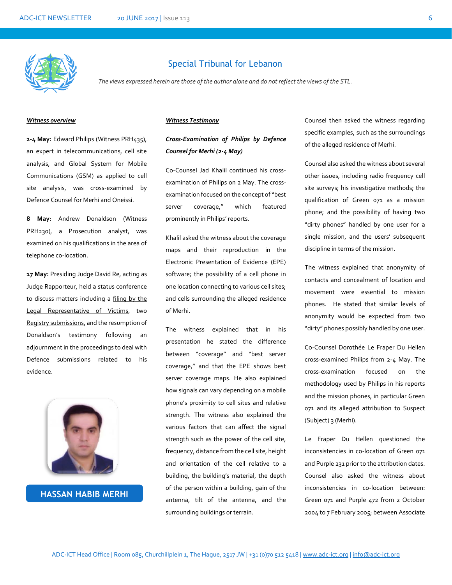

### Special Tribunal for Lebanon

*The views expressed herein are those of the author alone and do not reflect the views of the STL.*

#### *Witness overview*

**2-4 May:** Edward Philips (Witness PRH435), an expert in telecommunications, cell site analysis, and Global System for Mobile Communications (GSM) as applied to cell site analysis, was cross-examined by Defence Counsel for Merhi and Oneissi.

**8 May**: Andrew Donaldson (Witness PRH230), a Prosecution analyst, was examined on his qualifications in the area of telephone co-location.

**17 May:** Presiding Judge David Re, acting as Judge Rapporteur, held a status conference to discuss matters including a [filing by the](https://www.stl-tsl.org/index.php?option=com_k2&id=9425_15c4f15399dddf99939a4f3ba03ad831&lang=en&task=download&view=item)  [Legal Representative of Victims,](https://www.stl-tsl.org/index.php?option=com_k2&id=9425_15c4f15399dddf99939a4f3ba03ad831&lang=en&task=download&view=item) two [Registry submissions](https://www.stl-tsl.org/index.php?option=com_k2&id=9481_5928c7d5835f5a67be0f78452355c86e&lang=en&task=download&view=item), and the resumption of Donaldson's testimony following an adjournment in the proceedings to deal with Defence submissions related to his evidence.



**HASSAN HABIB MERHI**

#### *Witness Testimony*

*Cross-Examination of Philips by Defence Counsel for Merhi (2-4 May)*

Co-Counsel Jad Khalil continued his crossexamination of Philips on 2 May. The crossexamination focused on the concept of "best server coverage," which featured prominently in Philips' reports.

Khalil asked the witness about the coverage maps and their reproduction in the Electronic Presentation of Evidence (EPE) software; the possibility of a cell phone in one location connecting to various cell sites; and cells surrounding the alleged residence of Merhi.

The witness explained that in his presentation he stated the difference between "coverage" and "best server coverage," and that the EPE shows best server coverage maps. He also explained how signals can vary depending on a mobile phone's proximity to cell sites and relative strength. The witness also explained the various factors that can affect the signal strength such as the power of the cell site, frequency, distance from the cell site, height and orientation of the cell relative to a building, the building's material, the depth of the person within a building, gain of the antenna, tilt of the antenna, and the surrounding buildings or terrain.

Counsel then asked the witness regarding specific examples, such as the surroundings of the alleged residence of Merhi.

Counsel also asked the witness about several other issues, including radio frequency cell site surveys; his investigative methods; the qualification of Green 071 as a mission phone; and the possibility of having two "dirty phones" handled by one user for a single mission, and the users' subsequent discipline in terms of the mission.

The witness explained that anonymity of contacts and concealment of location and movement were essential to mission phones. He stated that similar levels of anonymity would be expected from two "dirty" phones possibly handled by one user.

Co-Counsel Dorothée Le Fraper Du Hellen cross-examined Philips from 2-4 May. The cross-examination focused on the methodology used by Philips in his reports and the mission phones, in particular Green 071 and its alleged attribution to Suspect (Subject) 3 (Merhi).

Le Fraper Du Hellen questioned the inconsistencies in co-location of Green 071 and Purple 231 prior to the attribution dates. Counsel also asked the witness about inconsistencies in co-location between: Green 071 and Purple 472 from 2 October 2004 to 7 February 2005; between Associate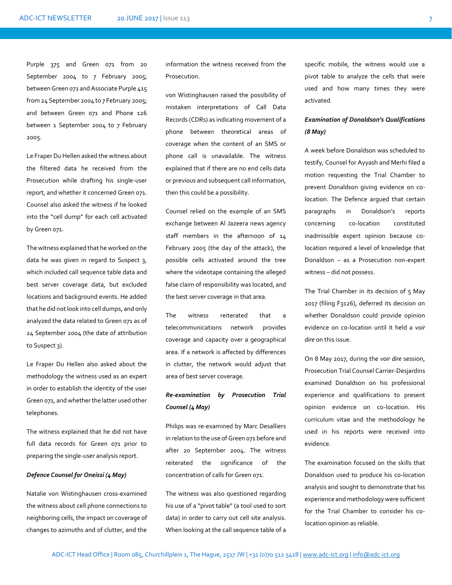Purple 375 and Green 071 from 20 September 2004 to 7 February 2005; between Green 071 and Associate Purple 415 from 24 September 2004 to 7 February 2005; and between Green 071 and Phone 126 between 1 September 2004 to 7 February 2005.

Le Fraper Du Hellen asked the witness about the filtered data he received from the Prosecution while drafting his single-user report, and whether it concerned Green 071. Counsel also asked the witness if he looked into the "cell dump" for each cell activated by Green 071.

The witness explained that he worked on the data he was given in regard to Suspect 3, which included call sequence table data and best server coverage data, but excluded locations and background events. He added that he did not look into cell dumps, and only analyzed the data related to Green 071 as of 24 September 2004 (the date of attribution to Suspect 3).

Le Fraper Du Hellen also asked about the methodology the witness used as an expert in order to establish the identity of the user Green 071, and whether the latter used other telephones.

The witness explained that he did not have full data records for Green 071 prior to preparing the single-user analysis report.

#### *Defence Counsel for Oneissi (4 May)*

Natalie von Wistinghausen cross-examined the witness about cell phone connections to neighboring cells, the impact on coverage of changes to azimuths and of clutter, and the

information the witness received from the Prosecution.

von Wistinghausen raised the possibility of mistaken interpretations of Call Data Records (CDRs) as indicating movement of a phone between theoretical areas of coverage when the content of an SMS or phone call is unavailable. The witness explained that if there are no end cells data or previous and subsequent call information, then this could be a possibility.

Counsel relied on the example of an SMS exchange between Al Jazeera news agency staff members in the afternoon of 14 February 2005 (the day of the attack), the possible cells activated around the tree where the videotape containing the alleged false claim of responsibility was located, and the best server coverage in that area.

The witness reiterated that a telecommunications network provides coverage and capacity over a geographical area. If a network is affected by differences in clutter, the network would adjust that area of best server coverage.

## *Re-examination by Prosecution Trial Counsel (4 May)*

Philips was re-examined by Marc Desalliers in relation to the use of Green 071 before and after 20 September 2004. The witness reiterated the significance of the concentration of calls for Green 071.

The witness was also questioned regarding his use of a "pivot table" (a tool used to sort data) in order to carry out cell site analysis. When looking at the call sequence table of a

specific mobile, the witness would use a pivot table to analyze the cells that were used and how many times they were activated.

## *Examination of Donaldson's Qualifications (8 May)*

A week before Donaldson was scheduled to testify, Counsel for Ayyash and Merhi filed a motion requesting the Trial Chamber to prevent Donaldson giving evidence on colocation. The Defence argued that certain paragraphs in Donaldson's reports concerning co-location constituted inadmissible expert opinion because colocation required a level of knowledge that Donaldson – as a Prosecution non-expert witness – did not possess.

The Trial Chamber in its decision of 5 May 2017 (filing F3126), deferred its decision on whether Donaldson could provide opinion evidence on co-location until it held a *voir dire* on this issue.

On 8 May 2017, during the *voir dire* session, Prosecution Trial Counsel Carrier-Desjardins examined Donaldson on his professional experience and qualifications to present opinion evidence on co-location. His curriculum vitae and the methodology he used in his reports were received into evidence.

The examination focused on the skills that Donaldson used to produce his co-location analysis and sought to demonstrate that his experience and methodology were sufficient for the Trial Chamber to consider his colocation opinion as reliable.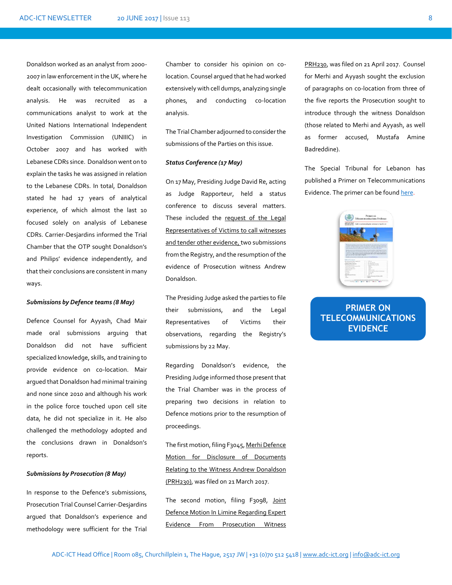Donaldson worked as an analyst from 2000- 2007 in law enforcement in the UK, where he dealt occasionally with telecommunication analysis. He was recruited as a communications analyst to work at the United Nations International Independent Investigation Commission (UNIIIC) in October 2007 and has worked with Lebanese CDRs since. Donaldson went on to explain the tasks he was assigned in relation to the Lebanese CDRs. In total, Donaldson stated he had 17 years of analytical experience, of which almost the last 10 focused solely on analysis of Lebanese CDRs. Carrier-Desjardins informed the Trial Chamber that the OTP sought Donaldson's and Philips' evidence independently, and that their conclusions are consistent in many ways.

#### *Submissions by Defence teams (8 May)*

Defence Counsel for Ayyash, Chad Mair made oral submissions arguing that Donaldson did not have sufficient specialized knowledge, skills, and training to provide evidence on co-location. Mair argued that Donaldson had minimal training and none since 2010 and although his work in the police force touched upon cell site data, he did not specialize in it. He also challenged the methodology adopted and the conclusions drawn in Donaldson's reports.

#### *Submissions by Prosecution (8 May)*

In response to the Defence's submissions, Prosecution Trial Counsel Carrier-Desjardins argued that Donaldson's experience and methodology were sufficient for the Trial

Chamber to consider his opinion on colocation. Counsel argued that he had worked extensively with cell dumps, analyzing single phones, and conducting co-location analysis.

The Trial Chamber adjourned to consider the submissions of the Parties on this issue.

#### *Status Conference (17 May)*

On 17 May, Presiding Judge David Re, acting as Judge Rapporteur, held a status conference to discuss several matters. These included the [request of the Legal](https://www.stl-tsl.org/index.php?option=com_k2&id=9425_15c4f15399dddf99939a4f3ba03ad831&lang=en&task=download&view=item)  [Representatives of Victims to call witnesses](https://www.stl-tsl.org/index.php?option=com_k2&id=9425_15c4f15399dddf99939a4f3ba03ad831&lang=en&task=download&view=item)  [and tender other evidence, t](https://www.stl-tsl.org/index.php?option=com_k2&id=9425_15c4f15399dddf99939a4f3ba03ad831&lang=en&task=download&view=item)wo submissions from the Registry, and the resumption of the evidence of Prosecution witness Andrew Donaldson.

The Presiding Judge asked the parties to file their submissions, and the Legal Representatives of Victims their observations, regarding the Registry's submissions by 22 May.

Regarding Donaldson's evidence, the Presiding Judge informed those present that the Trial Chamber was in the process of preparing two decisions in relation to Defence motions prior to the resumption of proceedings.

The first motion, filing F3045[, Merhi Defence](https://www.stl-tsl.org/index.php?option=com_k2&id=9334_caf421e536ebcd26a36842928549be64&lang=ar&task=download&view=item)  [Motion for Disclosure of Documents](https://www.stl-tsl.org/index.php?option=com_k2&id=9334_caf421e536ebcd26a36842928549be64&lang=ar&task=download&view=item)  [Relating to the Witness Andrew Donaldson](https://www.stl-tsl.org/index.php?option=com_k2&id=9334_caf421e536ebcd26a36842928549be64&lang=ar&task=download&view=item)  [\(PRH230\),](https://www.stl-tsl.org/index.php?option=com_k2&id=9334_caf421e536ebcd26a36842928549be64&lang=ar&task=download&view=item) was filed on 21 March 2017.

The second motion, filing F3098, Joint [Defence Motion In Limine Regarding Expert](https://www.stl-tsl.org/index.php?option=com_k2&id=9376_b3da6778c8efe51ee426743994d86f71&lang=en&task=download&view=item)  [Evidence From Prosecution Witness](https://www.stl-tsl.org/index.php?option=com_k2&id=9376_b3da6778c8efe51ee426743994d86f71&lang=en&task=download&view=item) 

[PRH230,](https://www.stl-tsl.org/index.php?option=com_k2&id=9376_b3da6778c8efe51ee426743994d86f71&lang=en&task=download&view=item) was filed on 21 April 2017. Counsel for Merhi and Ayyash sought the exclusion of paragraphs on co-location from three of the five reports the Prosecution sought to introduce through the witness Donaldson (those related to Merhi and Ayyash, as well as former accused, Mustafa Amine Badreddine).

The Special Tribunal for Lebanon has published a Primer on Telecommunications Evidence. The primer can be foun[d here.](https://www.stl-tsl.org/en/media/stl-bulletin/5752-primer-on-telecommunications-evidence)



## **PRIMER ON [TELECOMMUNICATIONS](https://www.stl-tsl.org/en/media/stl-bulletin/5752-primer-on-telecommunications-evidence) EVIDENCE**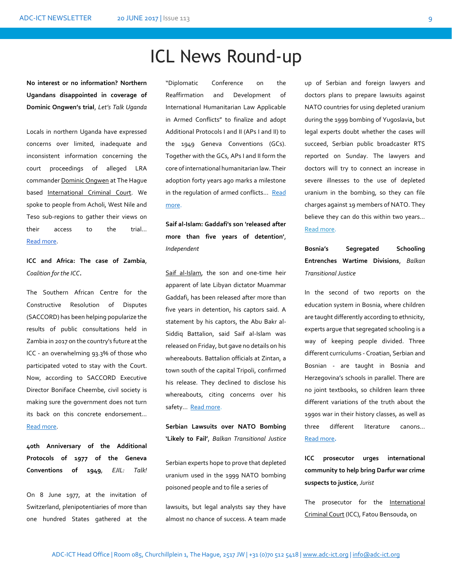# ICL News Round-up

**No interest or no information? Northern Ugandans disappointed in coverage of Dominic Ongwen's trial**, *Let's Talk Uganda*

Locals in northern Uganda have expressed concerns over limited, inadequate and inconsistent information concerning the court proceedings of alleged LRA commande[r Dominic Ongwen](http://letstalk.ug/tag/dominic-ongwen) at The Hague based [International Criminal Court.](http://letstalk.ug/tag/icc) We spoke to people from Acholi, West Nile and Teso sub-regions to gather their views on their access to the trial… [Read more.](http://letstalk.ug/article/no-interest-or-no-information-northern-ugandans-disappointed-coverage-dominic-ongwens-trial) 

**ICC and Africa: The case of Zambia**, *Coalition for the ICC***.** 

The Southern African Centre for the Constructive Resolution of Disputes (SACCORD) has been helping popularize the results of public consultations held in Zambia in 2017 on the country's future at the ICC - an overwhelming 93.3% of those who participated voted to stay with the Court. Now, according to SACCORD Executive Director Boniface Cheembe, civil society is making sure the government does not turn its back on this concrete endorsement… [Read more.](http://www.coalitionfortheicc.org/news/20170606/icc-and-africa-case-zambia)

**40th Anniversary of the Additional Protocols of 1977 of the Geneva Conventions of 1949**, *EJIL: Talk!*

On 8 June 1977, at the invitation of Switzerland, plenipotentiaries of more than one hundred States gathered at the

"Diplomatic Conference on the Reaffirmation and Development of International Humanitarian Law Applicable in Armed Conflicts" to finalize and adopt Additional Protocols I and II (APs I and II) to the 1949 Geneva Conventions (GCs). Together with the GCs, APs I and II form the core of international humanitarian law. Their adoption forty years ago marks a milestone in the regulation of armed conflicts... Read [more.](https://www.ejiltalk.org/40th-anniversary-of-the-additional-protocols-of-1977-of-the-geneva-conventions-of-1949/)

**Saif al-Islam: Gaddafi's son 'released after more than five years of detention'**, *Independent*

[Saif al-Islam,](http://www.independent.co.uk/news/world/africa/gaddafi-muammar-son-saif-al-islam-death-row-libya-released-a7124526.html) the son and one-time heir apparent of late Libyan dictator Muammar Gaddafi, has been released after more than five years in detention, his captors said. A statement by his captors, the Abu Bakr al-Siddiq Battalion, said Saif al-Islam was released on Friday, but gave no details on his whereabouts. Battalion officials at Zintan, a town south of the capital Tripoli, confirmed his release. They declined to disclose his whereabouts, citing concerns over his safety... Read more.

**Serbian Lawsuits over NATO Bombing 'Likely to Fail'**, *Balkan Transitional Justice*

Serbian experts hope to prove that depleted uranium used in the 1999 NATO bombing poisoned people and to file a series of

lawsuits, but legal analysts say they have almost no chance of success. A team made

up of Serbian and foreign lawyers and doctors plans to prepare lawsuits against NATO countries for using depleted uranium during the 1999 bombing of Yugoslavia, but legal experts doubt whether the cases will succeed, Serbian public broadcaster RTS reported on Sunday. The lawyers and doctors will try to connect an increase in severe illnesses to the use of depleted uranium in the bombing, so they can file charges against 19 members of NATO. They believe they can do this within two years… [Read more.](http://www.balkaninsight.com/en/article/announced-lawsuits-against-nato-raises-eyebrows-06-12-2017) 

**Bosnia's Segregated Schooling Entrenches Wartime Divisions**, *Balkan Transitional Justice*

In the second of two reports on the education system in Bosnia, where children are taught differently according to ethnicity, experts argue that segregated schooling is a way of keeping people divided. Three different curriculums - Croatian, Serbian and Bosnian - are taught in Bosnia and Herzegovina's schools in parallel. There are no joint textbooks, so children learn three different variations of the truth about the 1990s war in their history classes, as well as three different literature canons… [Read more](http://www.balkaninsight.com/en/article/bosnia-s-segregated-schooling-entrenches-wartime-divisions-06-12-2017?utm_source=Balkan+Transitional+Justice+Daily+Newsletter+-+NEW&utm_campaign=1d884708d8-RSS_EMAIL_CAMPAIGN&utm_medium=email&utm_term=0_a1d9e93e97-1d884708d8-319753337)**.**

**ICC prosecutor urges international community to help bring Darfur war crime suspects to justice**, *Jurist*

The prosecutor for the [International](https://www.icc-cpi.int/Pages/Main.aspx)  [Criminal Court](https://www.icc-cpi.int/Pages/Main.aspx) (ICC), Fatou Bensouda, on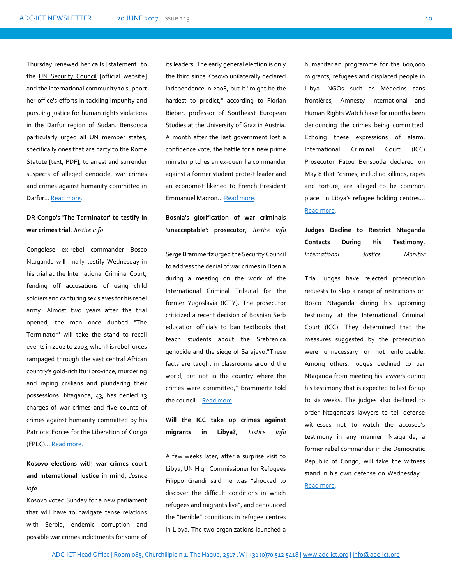Thursday [renewed her calls](https://www.icc-cpi.int/Pages/item.aspx?name=170608-otp-stat-UNSC) [statement] to the [UN Security Council](http://www.un.org/en/sc/) [official website] and the international community to support her office's efforts in tackling impunity and pursuing justice for human rights violations in the Darfur region of Sudan. Bensouda particularly urged all UN member states, specifically ones that are party to the Rome [Statute](https://www.icc-cpi.int/nr/rdonlyres/ea9aeff7-5752-4f84-be94-0a655eb30e16/0/rome_statute_english.pdf) [text, PDF], to arrest and surrender suspects of alleged genocide, war crimes and crimes against humanity committed in Darfur… [Read more.](http://www.jurist.org/paperchase/2017/06/icc-prosecutor-urges-international-community-to-help-bring-darfur-war-crime-suspects-to-justice.php)

## **DR Congo's 'The Terminator' to testify in war crimes trial**, *Justice Info*

Congolese ex-rebel commander Bosco Ntaganda will finally testify Wednesday in his trial at the International Criminal Court, fending off accusations of using child soldiers and capturing sex slaves for his rebel army. Almost two years after the trial opened, the man once dubbed "The Terminator" will take the stand to recall events in 2002 to 2003, when his rebel forces rampaged through the vast central African country's gold-rich Ituri province, murdering and raping civilians and plundering their possessions. Ntaganda, 43, has denied 13 charges of war crimes and five counts of crimes against humanity committed by his Patriotic Forces for the Liberation of Congo (FPLC)… [Read more.](http://www.justiceinfo.net/en/component/k2/33548-dr-congo-s-the-terminator-to-testify-in-war-crimes-trial.html)

**Kosovo elections with war crimes court and international justice in mind**, *Justice Info*

Kosovo voted Sunday for a new parliament that will have to navigate tense relations with Serbia, endemic corruption and possible war crimes indictments for some of

its leaders. The early general election is only the third since Kosovo unilaterally declared independence in 2008, but it "might be the hardest to predict," according to Florian Bieber, professor of Southeast European Studies at the University of Graz in Austria. A month after the last government lost a confidence vote, the battle for a new prime minister pitches an ex-guerrilla commander against a former student protest leader and an economist likened to French President Emmanuel Macron… [Read more.](http://www.justiceinfo.net/en/component/k2/33541.html?Itemid=102)

**Bosnia's glorification of war criminals 'unacceptable': prosecutor**, *Justice Info*

Serge Brammertz urged the Security Council to address the denial of war crimes in Bosnia during a meeting on the work of the International Criminal Tribunal for the former Yugoslavia (ICTY). The prosecutor criticized a recent decision of Bosnian Serb education officials to ban textbooks that teach students about the Srebrenica genocide and the siege of Sarajevo."These facts are taught in classrooms around the world, but not in the country where the crimes were committed," Brammertz told the council... [Read more.](http://www.justiceinfo.net/en/component/k2/33504-bosnia-s-glorification-of-war-criminals-unacceptable-prosecutor.html)

**Will the ICC take up crimes against migrants in Libya?**, *Justice Info*

A few weeks later, after a surprise visit to Libya, UN High Commissioner for Refugees Filippo Grandi said he was "shocked to discover the difficult conditions in which refugees and migrants live", and denounced the "terrible" conditions in refugee centres in Libya. The two organizations launched a

humanitarian programme for the 600,000 migrants, refugees and displaced people in Libya. NGOs such as Médecins sans frontières, Amnesty International and Human Rights Watch have for months been denouncing the crimes being committed. Echoing these expressions of alarm, International Criminal Court (ICC) Prosecutor Fatou Bensouda declared on May 8 that "crimes, including killings, rapes and torture, are alleged to be common place" in Libya's refugee holding centres… [Read more.](http://www.justiceinfo.net/en/component/k2/33499-will-the-icc-take-up-crimes-against-migrants-in-libya%C2%A0.html)

**Judges Decline to Restrict Ntaganda Contacts During His Testimony**, *International Justice Monitor*

Trial judges have rejected prosecution requests to slap a range of restrictions on Bosco Ntaganda during his upcoming testimony at the International Criminal Court (ICC). They determined that the measures suggested by the prosecution were unnecessary or not enforceable. Among others, judges declined to bar Ntaganda from meeting his lawyers during his testimony that is expected to last for up to six weeks. The judges also declined to order Ntaganda's lawyers to tell defense witnesses not to watch the accused's testimony in any manner. Ntaganda, a former rebel commander in the Democratic Republic of Congo, will take the witness stand in his own defense on Wednesday… [Read more.](https://www.ijmonitor.org/2017/06/judges-decline-to-restrict-ntaganda-contacts-during-his-testimony/)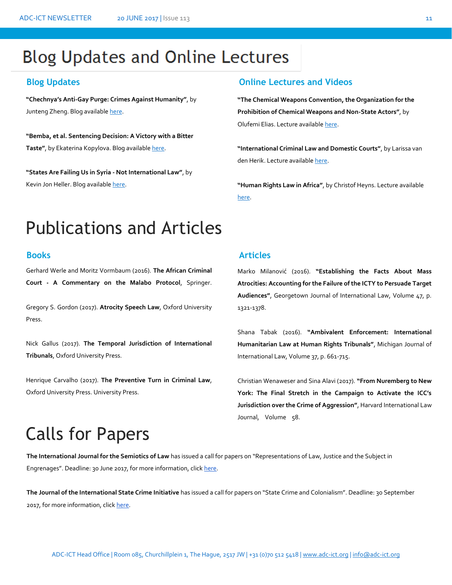# **Blog Updates and Online Lectures**

**"Chechnya's Anti-Gay Purge: Crimes Against Humanity"**, by Junteng Zheng. Blog available [here.](https://www.ejiltalk.org/chechnyas-anti-gay-purge-crimes-against-humanity/#more-15222) 

**"Bemba, et al. Sentencing Decision: A Victory with a Bitter Taste"**, by Ekaterina Kopylova. Blog availabl[e here.](http://opiniojuris.org/2017/05/15/bemba-et-al-sentencing-decision-a-victory-with-a-bitter-taste/)

**"States Are Failing Us in Syria - Not International Law"**, by Kevin Jon Heller. Blog available here.

## **Blog Updates Online Lectures and Videos**

**"The Chemical Weapons Convention, the Organization for the Prohibition of Chemical Weapons and Non-State Actors"**, by Olufemi Elias. Lecture availabl[e here.](http://legal.un.org/avl/ls/Elias_ACD.html)

**"International Criminal Law and Domestic Courts"**, by Larissa van den Herik. Lecture availabl[e here.](http://legal.un.org/avl/ls/Herik_CP.html) 

**"Human Rights Law in Africa"**, by Christof Heyns. Lecture available [here.](http://legal.un.org/avl/ls/Heyns_HR.html)

# Publications and Articles

Gerhard Werle and Moritz Vormbaum (2016). **The African Criminal Court - A Commentary on the Malabo Protocol**, Springer.

Gregory S. Gordon (2017). **Atrocity Speech Law**, Oxford University Press.

Nick Gallus (2017). **The Temporal Jurisdiction of International Tribunals**, Oxford University Press.

Henrique Carvalho (2017). **The Preventive Turn in Criminal Law**, Oxford University Press. University Press.

## **Books Articles**

Marko Milanović (2016). **"Establishing the Facts About Mass Atrocities: Accounting for the Failure of the ICTY to Persuade Target Audiences"**, Georgetown Journal of International Law, Volume 47, p. 1321-1378.

Shana Tabak (2016). **"Ambivalent Enforcement: International Humanitarian Law at Human Rights Tribunals"**, Michigan Journal of International Law, Volume 37, p. 661-715.

Christian Wenaweser and Sina Alavi (2017). **"From Nuremberg to New York: The Final Stretch in the Campaign to Activate the ICC's Jurisdiction over the Crime of Aggression"**, Harvard International Law Journal, Volume 58.

# Calls for Papers

**The International Journal for the Semiotics of Law** has issued a call for papers on "Representations of Law, Justice and the Subject in Engreenages". Deadline: 30 June 2017, for more information, click here. Engrenages". Deadline: 30 June 2017, for more information, clic[k here.](http://www.legalscholarshipblog.com/2017/04/19/cfp-representations-of-law-justice-the-subject-in-engrenages/) 

**The Journal of the International State Crime Initiative** has issued a call for papers on "State Crime and Colonialism". Deadline: 30 September 2017, for more information, click [here.](http://www.legalscholarshipblog.com/2017/04/19/cfp-state-crime-colonialism/)